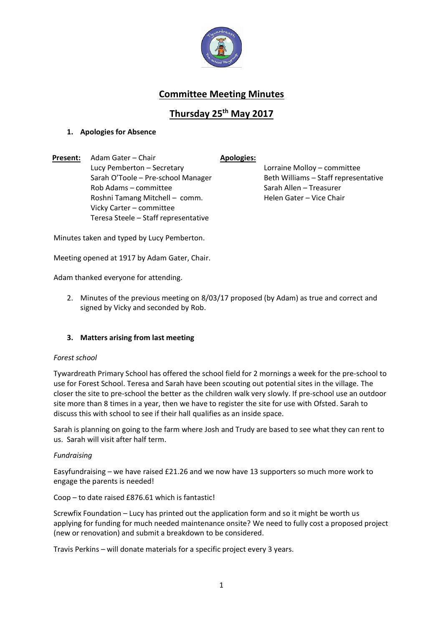

# **Committee Meeting Minutes**

# **Thursday 25th May 2017**

## **1. Apologies for Absence**

**Present:** Adam Gater – Chair **Apologies:** Lucy Pemberton – Secretary Lorraine Molloy – committee Sarah O'Toole – Pre-school Manager Beth Williams – Staff representative Rob Adams – committee Sarah Allen – Treasurer Roshni Tamang Mitchell – comm. Helen Gater – Vice Chair Vicky Carter – committee Teresa Steele – Staff representative

Minutes taken and typed by Lucy Pemberton.

Meeting opened at 1917 by Adam Gater, Chair.

Adam thanked everyone for attending.

2. Minutes of the previous meeting on 8/03/17 proposed (by Adam) as true and correct and signed by Vicky and seconded by Rob.

### **3. Matters arising from last meeting**

#### *Forest school*

Tywardreath Primary School has offered the school field for 2 mornings a week for the pre-school to use for Forest School. Teresa and Sarah have been scouting out potential sites in the village. The closer the site to pre-school the better as the children walk very slowly. If pre-school use an outdoor site more than 8 times in a year, then we have to register the site for use with Ofsted. Sarah to discuss this with school to see if their hall qualifies as an inside space.

Sarah is planning on going to the farm where Josh and Trudy are based to see what they can rent to us. Sarah will visit after half term.

#### *Fundraising*

Easyfundraising – we have raised £21.26 and we now have 13 supporters so much more work to engage the parents is needed!

Coop – to date raised £876.61 which is fantastic!

Screwfix Foundation – Lucy has printed out the application form and so it might be worth us applying for funding for much needed maintenance onsite? We need to fully cost a proposed project (new or renovation) and submit a breakdown to be considered.

Travis Perkins – will donate materials for a specific project every 3 years.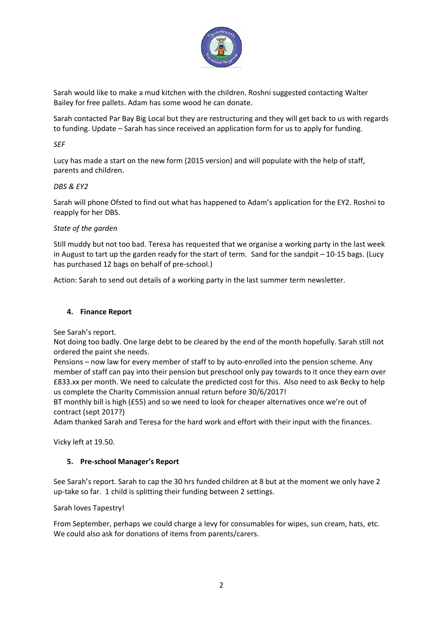

Sarah would like to make a mud kitchen with the children. Roshni suggested contacting Walter Bailey for free pallets. Adam has some wood he can donate.

Sarah contacted Par Bay Big Local but they are restructuring and they will get back to us with regards to funding. Update – Sarah has since received an application form for us to apply for funding.

*SEF*

Lucy has made a start on the new form (2015 version) and will populate with the help of staff, parents and children.

#### *DBS & EY2*

Sarah will phone Ofsted to find out what has happened to Adam's application for the EY2. Roshni to reapply for her DBS.

#### *State of the garden*

Still muddy but not too bad. Teresa has requested that we organise a working party in the last week in August to tart up the garden ready for the start of term. Sand for the sandpit – 10-15 bags. (Lucy has purchased 12 bags on behalf of pre-school.)

Action: Sarah to send out details of a working party in the last summer term newsletter.

#### **4. Finance Report**

See Sarah's report.

Not doing too badly. One large debt to be cleared by the end of the month hopefully. Sarah still not ordered the paint she needs.

Pensions – now law for every member of staff to by auto-enrolled into the pension scheme. Any member of staff can pay into their pension but preschool only pay towards to it once they earn over £833.xx per month. We need to calculate the predicted cost for this. Also need to ask Becky to help us complete the Charity Commission annual return before 30/6/2017!

BT monthly bill is high (£55) and so we need to look for cheaper alternatives once we're out of contract (sept 2017?)

Adam thanked Sarah and Teresa for the hard work and effort with their input with the finances.

Vicky left at 19.50.

### **5. Pre-school Manager's Report**

See Sarah's report. Sarah to cap the 30 hrs funded children at 8 but at the moment we only have 2 up-take so far. 1 child is splitting their funding between 2 settings.

Sarah loves Tapestry!

From September, perhaps we could charge a levy for consumables for wipes, sun cream, hats, etc. We could also ask for donations of items from parents/carers.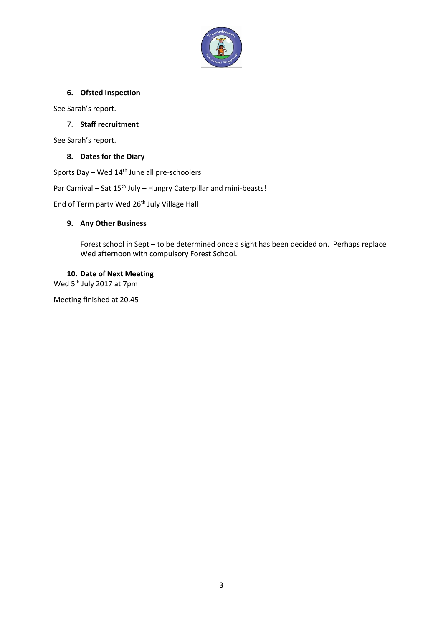

### **6. Ofsted Inspection**

See Sarah's report.

## 7. **Staff recruitment**

See Sarah's report.

### **8. Dates for the Diary**

Sports Day – Wed 14<sup>th</sup> June all pre-schoolers

Par Carnival – Sat 15<sup>th</sup> July – Hungry Caterpillar and mini-beasts!

End of Term party Wed 26<sup>th</sup> July Village Hall

#### **9. Any Other Business**

Forest school in Sept – to be determined once a sight has been decided on. Perhaps replace Wed afternoon with compulsory Forest School.

## **10. Date of Next Meeting**

Wed 5<sup>th</sup> July 2017 at 7pm

Meeting finished at 20.45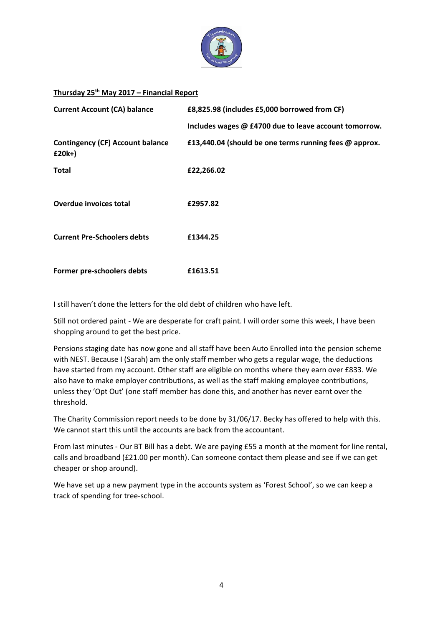

## **Thursday 25th May 2017 – Financial Report**

| <b>Current Account (CA) balance</b>                 | £8,825.98 (includes £5,000 borrowed from CF)           |  |
|-----------------------------------------------------|--------------------------------------------------------|--|
|                                                     | Includes wages @ £4700 due to leave account tomorrow.  |  |
| <b>Contingency (CF) Account balance</b><br>$£20k+)$ | £13,440.04 (should be one terms running fees @ approx. |  |
| <b>Total</b>                                        | £22,266.02                                             |  |
|                                                     |                                                        |  |
| Overdue invoices total                              | £2957.82                                               |  |
| <b>Current Pre-Schoolers debts</b>                  | £1344.25                                               |  |
|                                                     |                                                        |  |
| Former pre-schoolers debts                          | £1613.51                                               |  |

I still haven't done the letters for the old debt of children who have left.

Still not ordered paint - We are desperate for craft paint. I will order some this week, I have been shopping around to get the best price.

Pensions staging date has now gone and all staff have been Auto Enrolled into the pension scheme with NEST. Because I (Sarah) am the only staff member who gets a regular wage, the deductions have started from my account. Other staff are eligible on months where they earn over £833. We also have to make employer contributions, as well as the staff making employee contributions, unless they 'Opt Out' (one staff member has done this, and another has never earnt over the threshold.

The Charity Commission report needs to be done by 31/06/17. Becky has offered to help with this. We cannot start this until the accounts are back from the accountant.

From last minutes - Our BT Bill has a debt. We are paying £55 a month at the moment for line rental, calls and broadband (£21.00 per month). Can someone contact them please and see if we can get cheaper or shop around).

We have set up a new payment type in the accounts system as 'Forest School', so we can keep a track of spending for tree-school.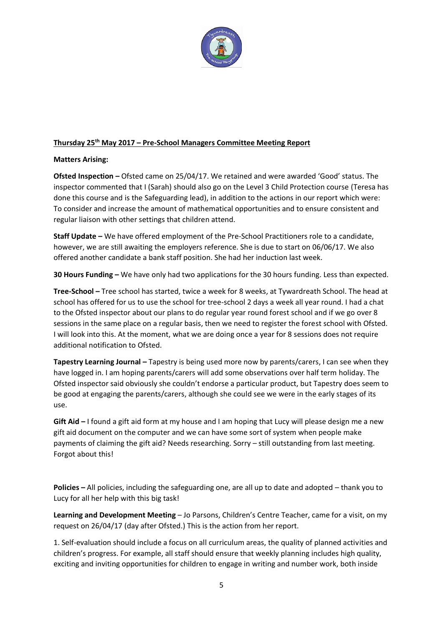

### **Thursday 25th May 2017 – Pre-School Managers Committee Meeting Report**

### **Matters Arising:**

**Ofsted Inspection –** Ofsted came on 25/04/17. We retained and were awarded 'Good' status. The inspector commented that I (Sarah) should also go on the Level 3 Child Protection course (Teresa has done this course and is the Safeguarding lead), in addition to the actions in our report which were: To consider and increase the amount of mathematical opportunities and to ensure consistent and regular liaison with other settings that children attend.

**Staff Update –** We have offered employment of the Pre-School Practitioners role to a candidate, however, we are still awaiting the employers reference. She is due to start on 06/06/17. We also offered another candidate a bank staff position. She had her induction last week.

**30 Hours Funding –** We have only had two applications for the 30 hours funding. Less than expected.

**Tree-School –** Tree school has started, twice a week for 8 weeks, at Tywardreath School. The head at school has offered for us to use the school for tree-school 2 days a week all year round. I had a chat to the Ofsted inspector about our plans to do regular year round forest school and if we go over 8 sessions in the same place on a regular basis, then we need to register the forest school with Ofsted. I will look into this. At the moment, what we are doing once a year for 8 sessions does not require additional notification to Ofsted.

**Tapestry Learning Journal –** Tapestry is being used more now by parents/carers, I can see when they have logged in. I am hoping parents/carers will add some observations over half term holiday. The Ofsted inspector said obviously she couldn't endorse a particular product, but Tapestry does seem to be good at engaging the parents/carers, although she could see we were in the early stages of its use.

**Gift Aid –** I found a gift aid form at my house and I am hoping that Lucy will please design me a new gift aid document on the computer and we can have some sort of system when people make payments of claiming the gift aid? Needs researching. Sorry – still outstanding from last meeting. Forgot about this!

**Policies –** All policies, including the safeguarding one, are all up to date and adopted – thank you to Lucy for all her help with this big task!

**Learning and Development Meeting** – Jo Parsons, Children's Centre Teacher, came for a visit, on my request on 26/04/17 (day after Ofsted.) This is the action from her report.

1. Self-evaluation should include a focus on all curriculum areas, the quality of planned activities and children's progress. For example, all staff should ensure that weekly planning includes high quality, exciting and inviting opportunities for children to engage in writing and number work, both inside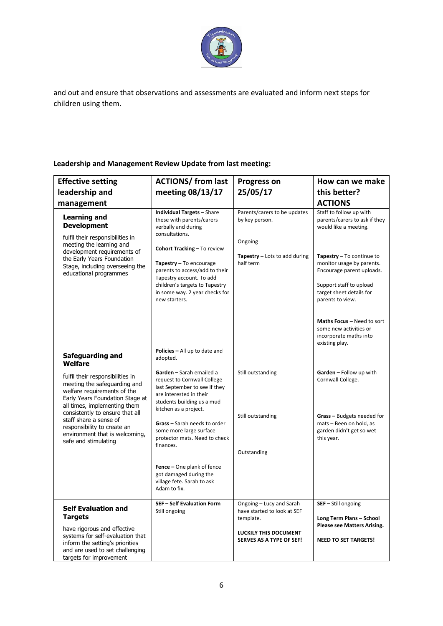

and out and ensure that observations and assessments are evaluated and inform next steps for children using them.

## **Leadership and Management Review Update from last meeting:**

| <b>Effective setting</b><br>leadership and<br>management<br><b>Learning and</b><br><b>Development</b><br>fulfil their responsibilities in<br>meeting the learning and<br>development requirements of | <b>ACTIONS/ from last</b><br>meeting 08/13/17<br><b>Individual Targets - Share</b><br>these with parents/carers<br>verbally and during<br>consultations.<br><b>Cohort Tracking - To review</b> | <b>Progress on</b><br>25/05/17<br>Parents/carers to be updates<br>by key person.<br>Ongoing | How can we make<br>this better?<br><b>ACTIONS</b><br>Staff to follow up with<br>parents/carers to ask if they<br>would like a meeting.                         |
|------------------------------------------------------------------------------------------------------------------------------------------------------------------------------------------------------|------------------------------------------------------------------------------------------------------------------------------------------------------------------------------------------------|---------------------------------------------------------------------------------------------|----------------------------------------------------------------------------------------------------------------------------------------------------------------|
| the Early Years Foundation<br>Stage, including overseeing the<br>educational programmes                                                                                                              | Tapestry - To encourage<br>parents to access/add to their<br>Tapestry account. To add<br>children's targets to Tapestry<br>in some way. 2 year checks for<br>new starters.                     | Tapestry - Lots to add during<br>half term                                                  | Tapestry - To continue to<br>monitor usage by parents.<br>Encourage parent uploads.<br>Support staff to upload<br>target sheet details for<br>parents to view. |
|                                                                                                                                                                                                      |                                                                                                                                                                                                |                                                                                             | <b>Maths Focus - Need to sort</b><br>some new activities or<br>incorporate maths into<br>existing play.                                                        |
| <b>Safeguarding and</b><br>Welfare                                                                                                                                                                   | Policies - All up to date and<br>adopted.                                                                                                                                                      |                                                                                             |                                                                                                                                                                |
| fulfil their responsibilities in<br>meeting the safeguarding and<br>welfare requirements of the<br>Early Years Foundation Stage at<br>all times, implementing them                                   | Garden - Sarah emailed a<br>request to Cornwall College<br>last September to see if they<br>are interested in their<br>students building us a mud<br>kitchen as a project.                     | Still outstanding                                                                           | Garden - Follow up with<br>Cornwall College.                                                                                                                   |
| consistently to ensure that all<br>staff share a sense of<br>responsibility to create an<br>environment that is welcoming,<br>safe and stimulating                                                   | Grass - Sarah needs to order<br>some more large surface<br>protector mats. Need to check<br>finances.                                                                                          | Still outstanding<br>Outstanding                                                            | <b>Grass</b> – Budgets needed for<br>mats - Been on hold, as<br>garden didn't get so wet<br>this year.                                                         |
|                                                                                                                                                                                                      | <b>Fence</b> – One plank of fence<br>got damaged during the<br>village fete. Sarah to ask<br>Adam to fix.                                                                                      |                                                                                             |                                                                                                                                                                |
| <b>Self Evaluation and</b><br><b>Targets</b>                                                                                                                                                         | <b>SEF-Self Evaluation Form</b><br>Still ongoing                                                                                                                                               | Ongoing - Lucy and Sarah<br>have started to look at SEF                                     | SEF - Still ongoing                                                                                                                                            |
| have rigorous and effective                                                                                                                                                                          |                                                                                                                                                                                                | template.<br><b>LUCKILY THIS DOCUMENT</b>                                                   | Long Term Plans - School<br>Please see Matters Arising.                                                                                                        |
| systems for self-evaluation that<br>inform the setting's priorities<br>and are used to set challenging<br>targets for improvement                                                                    |                                                                                                                                                                                                | SERVES AS A TYPE OF SEF!                                                                    | <b>NEED TO SET TARGETS!</b>                                                                                                                                    |